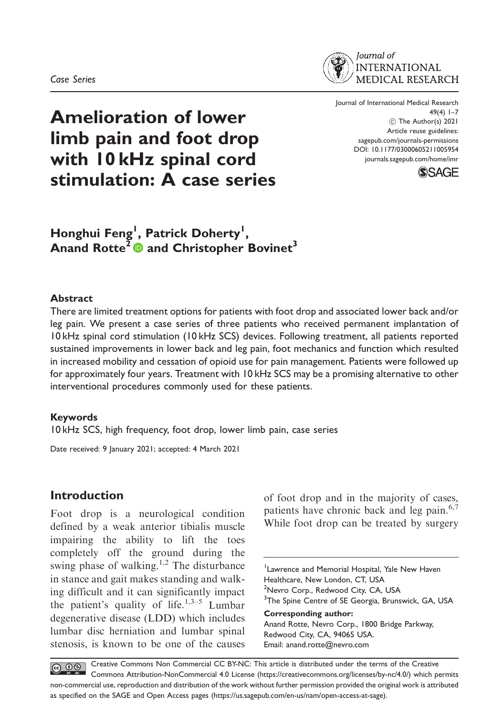

# Amelioration of lower limb pain and foot drop with 10 kHz spinal cord stimulation: A case series

Journal of International Medical Research 49(4) 1–7 C The Author(s) 2021 Article reuse guidelines: sagepub.com/journals-permissions DOI: 10.1177/03000605211005954 journals.sagepub.com/home/imr



# Honghui Feng<sup>1</sup>, Patrick Doherty<sup>1</sup>, Anand Rotte<sup>2</sup> and Christopher Bovinet<sup>3</sup>

#### Abstract

There are limited treatment options for patients with foot drop and associated lower back and/or leg pain. We present a case series of three patients who received permanent implantation of 10 kHz spinal cord stimulation (10 kHz SCS) devices. Following treatment, all patients reported sustained improvements in lower back and leg pain, foot mechanics and function which resulted in increased mobility and cessation of opioid use for pain management. Patients were followed up for approximately four years. Treatment with 10 kHz SCS may be a promising alternative to other interventional procedures commonly used for these patients.

#### Keywords

10 kHz SCS, high frequency, foot drop, lower limb pain, case series

Date received: 9 January 2021; accepted: 4 March 2021

## Introduction

Foot drop is a neurological condition defined by a weak anterior tibialis muscle impairing the ability to lift the toes completely off the ground during the swing phase of walking.<sup>1,2</sup> The disturbance in stance and gait makes standing and walking difficult and it can significantly impact the patient's quality of life.<sup>1,3–5</sup> Lumbar degenerative disease (LDD) which includes lumbar disc herniation and lumbar spinal stenosis, is known to be one of the causes of foot drop and in the majority of cases, patients have chronic back and leg pain.<sup>6,7</sup> While foot drop can be treated by surgery

<sup>1</sup> Lawrence and Memorial Hospital, Yale New Haven Healthcare, New London, CT, USA <sup>2</sup>Nevro Corp., Redwood City, CA, USA <sup>3</sup>The Spine Centre of SE Georgia, Brunswick, GA, USA Corresponding author: Anand Rotte, Nevro Corp., 1800 Bridge Parkway, Redwood City, CA, 94065 USA.

Email: anand.rotte@nevro.com

Creative Commons Non Commercial CC BY-NC: This article is distributed under the terms of the Creative  $\odot$ Commons Attribution-NonCommercial 4.0 License (https://creativecommons.org/licenses/by-nc/4.0/) which permits non-commercial use, reproduction and distribution of the work without further permission provided the original work is attributed as specified on the SAGE and Open Access pages (https://us.sagepub.com/en-us/nam/open-access-at-sage).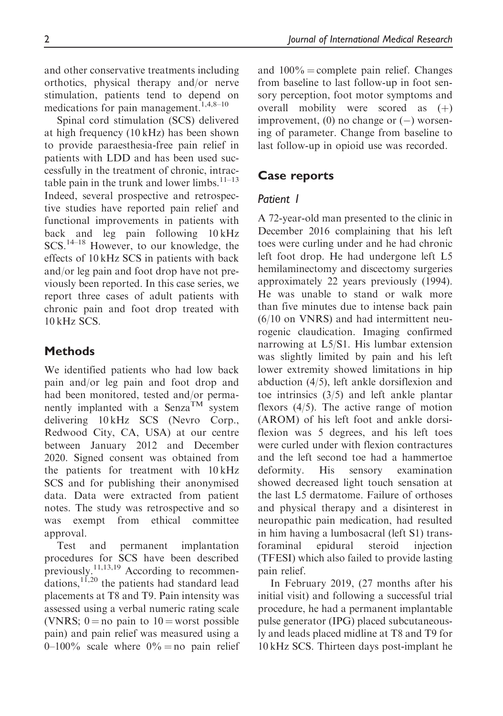and other conservative treatments including orthotics, physical therapy and/or nerve stimulation, patients tend to depend on medications for pain management.<sup>1,4,8–10</sup>

Spinal cord stimulation (SCS) delivered at high frequency (10 kHz) has been shown to provide paraesthesia-free pain relief in patients with LDD and has been used successfully in the treatment of chronic, intractable pain in the trunk and lower limbs. $11-13$ Indeed, several prospective and retrospective studies have reported pain relief and functional improvements in patients with back and leg pain following 10 kHz SCS.14–18 However, to our knowledge, the effects of 10 kHz SCS in patients with back and/or leg pain and foot drop have not previously been reported. In this case series, we report three cases of adult patients with chronic pain and foot drop treated with 10 kHz SCS.

#### **Methods**

We identified patients who had low back pain and/or leg pain and foot drop and had been monitored, tested and/or permanently implanted with a Senza<sup>TM</sup> system delivering 10 kHz SCS (Nevro Corp., Redwood City, CA, USA) at our centre between January 2012 and December 2020. Signed consent was obtained from the patients for treatment with 10 kHz SCS and for publishing their anonymised data. Data were extracted from patient notes. The study was retrospective and so was exempt from ethical committee approval.

Test and permanent implantation procedures for SCS have been described procedure  $\frac{11,13,19}{2}$  According to recommendations,11,20 the patients had standard lead placements at T8 and T9. Pain intensity was assessed using a verbal numeric rating scale (VNRS;  $0 = no$  pain to  $10 =$  worst possible pain) and pain relief was measured using a 0–100% scale where  $0\%$  = no pain relief and  $100\%$  = complete pain relief. Changes from baseline to last follow-up in foot sensory perception, foot motor symptoms and overall mobility were scored as  $(+)$ improvement,  $(0)$  no change or  $(-)$  worsening of parameter. Change from baseline to last follow-up in opioid use was recorded.

#### Case reports

#### Patient 1

A 72-year-old man presented to the clinic in December 2016 complaining that his left toes were curling under and he had chronic left foot drop. He had undergone left L5 hemilaminectomy and discectomy surgeries approximately 22 years previously (1994). He was unable to stand or walk more than five minutes due to intense back pain (6/10 on VNRS) and had intermittent neurogenic claudication. Imaging confirmed narrowing at L5/S1. His lumbar extension was slightly limited by pain and his left lower extremity showed limitations in hip abduction (4/5), left ankle dorsiflexion and toe intrinsics (3/5) and left ankle plantar flexors (4/5). The active range of motion (AROM) of his left foot and ankle dorsiflexion was 5 degrees, and his left toes were curled under with flexion contractures and the left second toe had a hammertoe deformity. His sensory examination showed decreased light touch sensation at the last L5 dermatome. Failure of orthoses and physical therapy and a disinterest in neuropathic pain medication, had resulted in him having a lumbosacral (left S1) transforaminal epidural steroid injection (TFESI) which also failed to provide lasting pain relief.

In February 2019, (27 months after his initial visit) and following a successful trial procedure, he had a permanent implantable pulse generator (IPG) placed subcutaneously and leads placed midline at T8 and T9 for 10 kHz SCS. Thirteen days post-implant he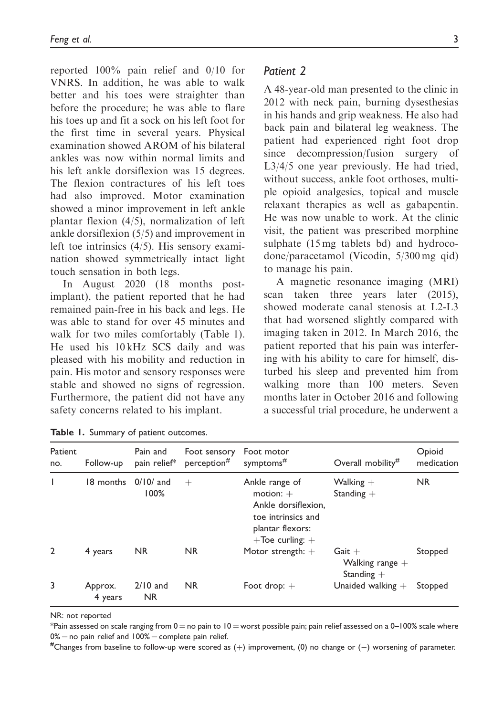reported 100% pain relief and 0/10 for VNRS. In addition, he was able to walk better and his toes were straighter than before the procedure; he was able to flare his toes up and fit a sock on his left foot for the first time in several years. Physical examination showed AROM of his bilateral ankles was now within normal limits and his left ankle dorsiflexion was 15 degrees. The flexion contractures of his left toes had also improved. Motor examination showed a minor improvement in left ankle plantar flexion (4/5), normalization of left ankle dorsiflexion (5/5) and improvement in left toe intrinsics (4/5). His sensory examination showed symmetrically intact light touch sensation in both legs.

In August 2020 (18 months postimplant), the patient reported that he had remained pain-free in his back and legs. He was able to stand for over 45 minutes and walk for two miles comfortably (Table 1). He used his 10 kHz SCS daily and was pleased with his mobility and reduction in pain. His motor and sensory responses were stable and showed no signs of regression. Furthermore, the patient did not have any safety concerns related to his implant.

|  | Patient 2 |  |
|--|-----------|--|
|--|-----------|--|

A 48-year-old man presented to the clinic in 2012 with neck pain, burning dysesthesias in his hands and grip weakness. He also had back pain and bilateral leg weakness. The patient had experienced right foot drop since decompression/fusion surgery of L3/4/5 one year previously. He had tried, without success, ankle foot orthoses, multiple opioid analgesics, topical and muscle relaxant therapies as well as gabapentin. He was now unable to work. At the clinic visit, the patient was prescribed morphine sulphate (15 mg tablets bd) and hydrocodone/paracetamol (Vicodin, 5/300 mg qid) to manage his pain.

A magnetic resonance imaging (MRI) scan taken three years later (2015), showed moderate canal stenosis at L2-L3 that had worsened slightly compared with imaging taken in 2012. In March 2016, the patient reported that his pain was interfering with his ability to care for himself, disturbed his sleep and prevented him from walking more than 100 meters. Seven months later in October 2016 and following a successful trial procedure, he underwent a

| Patient<br>no. | Follow-up          | Pain and<br>pain relief* | Foot sensory<br>perception <sup>#</sup> | Foot motor<br>symptoms <sup>#</sup>                                                                                    | Overall mobility <sup>#</sup>                 | Opioid<br>medication |
|----------------|--------------------|--------------------------|-----------------------------------------|------------------------------------------------------------------------------------------------------------------------|-----------------------------------------------|----------------------|
|                | 18 months          | $0/10/$ and<br>100%      | $^+$                                    | Ankle range of<br>motion: $+$<br>Ankle dorsiflexion.<br>toe intrinsics and<br>plantar flexors:<br>$+$ Toe curling: $+$ | Walking $+$<br>Standing $+$                   | <b>NR</b>            |
| $\overline{2}$ | 4 years            | <b>NR</b>                | <b>NR</b>                               | Motor strength: $+$                                                                                                    | $Gait +$<br>Walking range $+$<br>Standing $+$ | Stopped              |
| 3              | Approx.<br>4 years | $2/10$ and<br><b>NR</b>  | <b>NR</b>                               | Foot drop: $+$                                                                                                         | Unaided walking $+$                           | Stopped              |

|  |  |  |  |  | Table 1. Summary of patient outcomes. |
|--|--|--|--|--|---------------------------------------|
|--|--|--|--|--|---------------------------------------|

NR: not reported

\*Pain assessed on scale ranging from  $0 =$  no pain to  $10 =$  worst possible pain; pain relief assessed on a 0–100% scale where  $0\%$  = no pain relief and  $100\%$  = complete pain relief.

Changes from baseline to follow-up were scored as  $(+)$  improvement,  $(0)$  no change or  $(-)$  worsening of parameter.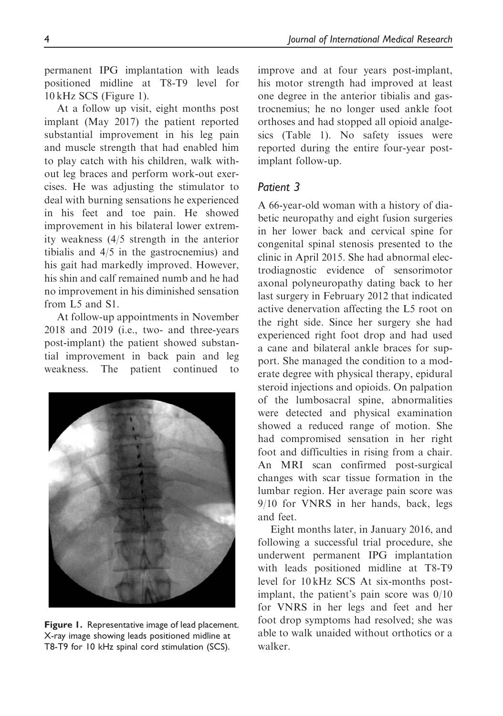permanent IPG implantation with leads positioned midline at T8-T9 level for 10 kHz SCS (Figure 1).

At a follow up visit, eight months post implant (May 2017) the patient reported substantial improvement in his leg pain and muscle strength that had enabled him to play catch with his children, walk without leg braces and perform work-out exercises. He was adjusting the stimulator to deal with burning sensations he experienced in his feet and toe pain. He showed improvement in his bilateral lower extremity weakness (4/5 strength in the anterior tibialis and 4/5 in the gastrocnemius) and his gait had markedly improved. However, his shin and calf remained numb and he had no improvement in his diminished sensation from L5 and S1.

At follow-up appointments in November 2018 and 2019 (i.e., two- and three-years post-implant) the patient showed substantial improvement in back pain and leg weakness. The patient continued to



Figure 1. Representative image of lead placement. X-ray image showing leads positioned midline at T8-T9 for 10 kHz spinal cord stimulation (SCS).

improve and at four years post-implant, his motor strength had improved at least one degree in the anterior tibialis and gastrocnemius; he no longer used ankle foot orthoses and had stopped all opioid analgesics (Table 1). No safety issues were reported during the entire four-year postimplant follow-up.

#### Patient 3

A 66-year-old woman with a history of diabetic neuropathy and eight fusion surgeries in her lower back and cervical spine for congenital spinal stenosis presented to the clinic in April 2015. She had abnormal electrodiagnostic evidence of sensorimotor axonal polyneuropathy dating back to her last surgery in February 2012 that indicated active denervation affecting the L5 root on the right side. Since her surgery she had experienced right foot drop and had used a cane and bilateral ankle braces for support. She managed the condition to a moderate degree with physical therapy, epidural steroid injections and opioids. On palpation of the lumbosacral spine, abnormalities were detected and physical examination showed a reduced range of motion. She had compromised sensation in her right foot and difficulties in rising from a chair. An MRI scan confirmed post-surgical changes with scar tissue formation in the lumbar region. Her average pain score was 9/10 for VNRS in her hands, back, legs and feet.

Eight months later, in January 2016, and following a successful trial procedure, she underwent permanent IPG implantation with leads positioned midline at T8-T9 level for 10 kHz SCS At six-months postimplant, the patient's pain score was 0/10 for VNRS in her legs and feet and her foot drop symptoms had resolved; she was able to walk unaided without orthotics or a walker.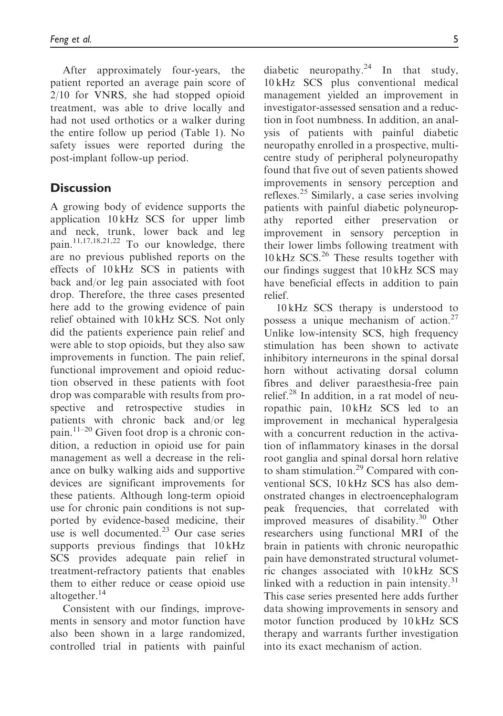After approximately four-years, the patient reported an average pain score of 2/10 for VNRS, she had stopped opioid treatment, was able to drive locally and had not used orthotics or a walker during the entire follow up period (Table 1). No safety issues were reported during the post-implant follow-up period.

### **Discussion**

A growing body of evidence supports the application 10 kHz SCS for upper limb and neck, trunk, lower back and leg pain.<sup>11,17,18,21,22</sup> To our knowledge, there are no previous published reports on the effects of 10 kHz SCS in patients with back and/or leg pain associated with foot drop. Therefore, the three cases presented here add to the growing evidence of pain relief obtained with 10 kHz SCS. Not only did the patients experience pain relief and were able to stop opioids, but they also saw improvements in function. The pain relief, functional improvement and opioid reduction observed in these patients with foot drop was comparable with results from prospective and retrospective studies in patients with chronic back and/or leg  $_{\text{main.}}^{11-20}$  Given foot drop is a chronic condition, a reduction in opioid use for pain management as well a decrease in the reliance on bulky walking aids and supportive devices are significant improvements for these patients. Although long-term opioid use for chronic pain conditions is not supported by evidence-based medicine, their use is well documented. $^{23}$  Our case series supports previous findings that  $10 \text{ kHz}$ SCS provides adequate pain relief in treatment-refractory patients that enables them to either reduce or cease opioid use altogether.<sup>14</sup>

Consistent with our findings, improvements in sensory and motor function have also been shown in a large randomized, controlled trial in patients with painful

diabetic neuropathy. $24$  In that study, 10 kHz SCS plus conventional medical management yielded an improvement in investigator-assessed sensation and a reduction in foot numbness. In addition, an analysis of patients with painful diabetic neuropathy enrolled in a prospective, multicentre study of peripheral polyneuropathy found that five out of seven patients showed improvements in sensory perception and reflexes.<sup>25</sup> Similarly, a case series involving patients with painful diabetic polyneuropathy reported either preservation or improvement in sensory perception in their lower limbs following treatment with  $10 \text{ kHz }$  SCS.<sup>26</sup> These results together with our findings suggest that 10 kHz SCS may have beneficial effects in addition to pain relief.

10 kHz SCS therapy is understood to possess a unique mechanism of action.<sup>27</sup> Unlike low-intensity SCS, high frequency stimulation has been shown to activate inhibitory interneurons in the spinal dorsal horn without activating dorsal column fibres and deliver paraesthesia-free pain relief.<sup>28</sup> In addition, in a rat model of neuropathic pain, 10 kHz SCS led to an improvement in mechanical hyperalgesia with a concurrent reduction in the activation of inflammatory kinases in the dorsal root ganglia and spinal dorsal horn relative to sham stimulation.<sup>29</sup> Compared with conventional SCS, 10 kHz SCS has also demonstrated changes in electroencephalogram peak frequencies, that correlated with improved measures of disability.<sup>30</sup> Other researchers using functional MRI of the brain in patients with chronic neuropathic pain have demonstrated structural volumetric changes associated with 10 kHz SCS linked with a reduction in pain intensity. $31$ This case series presented here adds further data showing improvements in sensory and motor function produced by 10 kHz SCS therapy and warrants further investigation into its exact mechanism of action.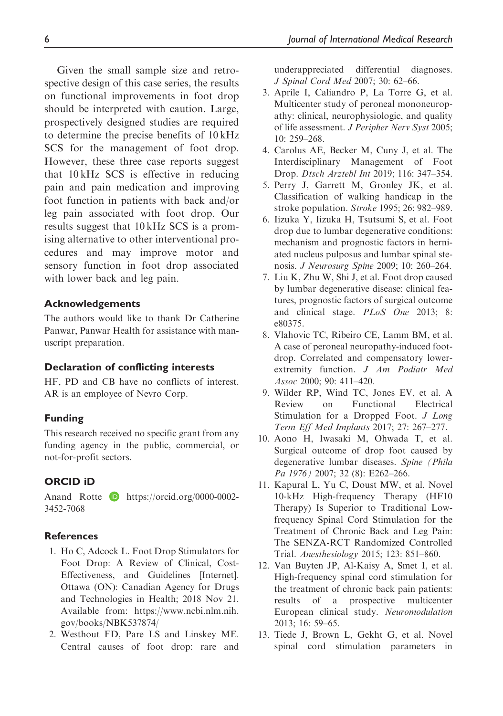Given the small sample size and retrospective design of this case series, the results on functional improvements in foot drop should be interpreted with caution. Large, prospectively designed studies are required to determine the precise benefits of 10 kHz SCS for the management of foot drop. However, these three case reports suggest that 10 kHz SCS is effective in reducing pain and pain medication and improving foot function in patients with back and/or leg pain associated with foot drop. Our results suggest that 10 kHz SCS is a promising alternative to other interventional procedures and may improve motor and sensory function in foot drop associated with lower back and leg pain.

#### Acknowledgements

The authors would like to thank Dr Catherine Panwar, Panwar Health for assistance with manuscript preparation.

#### Declaration of conflicting interests

HF, PD and CB have no conflicts of interest. AR is an employee of Nevro Corp.

#### Funding

This research received no specific grant from any funding agency in the public, commercial, or not-for-profit sectors.

#### ORCID iD

Anand Rotte **b** https://orcid.org/0000-0002-3452-7068

#### References

- 1. Ho C, Adcock L. Foot Drop Stimulators for Foot Drop: A Review of Clinical, Cost-Effectiveness, and Guidelines [Internet]. Ottawa (ON): Canadian Agency for Drugs and Technologies in Health; 2018 Nov 21. Available from: https://www.ncbi.nlm.nih. gov/books/NBK537874/
- 2. Westhout FD, Pare LS and Linskey ME. Central causes of foot drop: rare and

underappreciated differential diagnoses. J Spinal Cord Med 2007; 30: 62–66.

- 3. Aprile I, Caliandro P, La Torre G, et al. Multicenter study of peroneal mononeuropathy: clinical, neurophysiologic, and quality of life assessment. J Peripher Nerv Syst 2005; 10: 259–268.
- 4. Carolus AE, Becker M, Cuny J, et al. The Interdisciplinary Management of Foot Drop. Dtsch Arztebl Int 2019; 116: 347–354.
- 5. Perry J, Garrett M, Gronley JK, et al. Classification of walking handicap in the stroke population. Stroke 1995; 26: 982–989.
- 6. Iizuka Y, Iizuka H, Tsutsumi S, et al. Foot drop due to lumbar degenerative conditions: mechanism and prognostic factors in herniated nucleus pulposus and lumbar spinal stenosis. J Neurosurg Spine 2009; 10: 260–264.
- 7. Liu K, Zhu W, Shi J, et al. Foot drop caused by lumbar degenerative disease: clinical features, prognostic factors of surgical outcome and clinical stage. PLoS One 2013; 8: e80375.
- 8. Vlahovic TC, Ribeiro CE, Lamm BM, et al. A case of peroneal neuropathy-induced footdrop. Correlated and compensatory lowerextremity function. J Am Podiatr Med Assoc 2000; 90: 411–420.
- 9. Wilder RP, Wind TC, Jones EV, et al. A Review on Functional Electrical Stimulation for a Dropped Foot. *J Long* Term Eff Med Implants 2017; 27: 267–277.
- 10. Aono H, Iwasaki M, Ohwada T, et al. Surgical outcome of drop foot caused by degenerative lumbar diseases. Spine (Phila Pa 1976) 2007; 32 (8): E262-266.
- 11. Kapural L, Yu C, Doust MW, et al. Novel 10-kHz High-frequency Therapy (HF10 Therapy) Is Superior to Traditional Lowfrequency Spinal Cord Stimulation for the Treatment of Chronic Back and Leg Pain: The SENZA-RCT Randomized Controlled Trial. Anesthesiology 2015; 123: 851–860.
- 12. Van Buyten JP, Al-Kaisy A, Smet I, et al. High-frequency spinal cord stimulation for the treatment of chronic back pain patients: results of a prospective multicenter European clinical study. Neuromodulation 2013; 16: 59–65.
- 13. Tiede J, Brown L, Gekht G, et al. Novel spinal cord stimulation parameters in